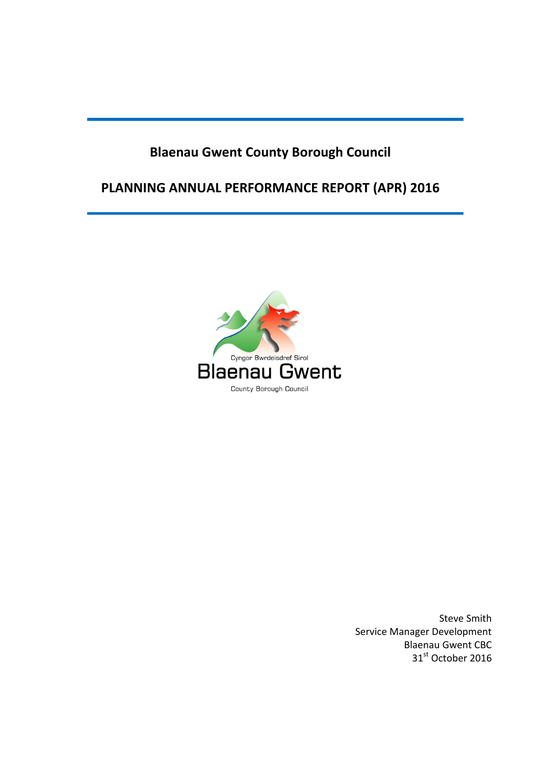# **Blaenau Gwent County Borough Council**

# **PLANNING ANNUAL PERFORMANCE REPORT (APR) 2016**



Steve Smith Service Manager Development Blaenau Gwent CBC 31st October 2016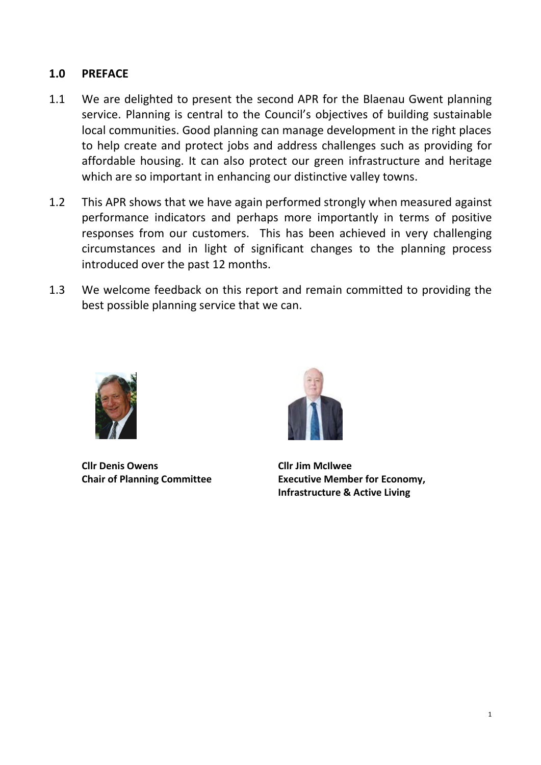## **1.0 PREFACE**

- 1.1 We are delighted to present the second APR for the Blaenau Gwent planning service. Planning is central to the Council's objectives of building sustainable local communities. Good planning can manage development in the right places to help create and protect jobs and address challenges such as providing for affordable housing. It can also protect our green infrastructure and heritage which are so important in enhancing our distinctive valley towns.
- 1.2 This APR shows that we have again performed strongly when measured against performance indicators and perhaps more importantly in terms of positive responses from our customers. This has been achieved in very challenging circumstances and in light of significant changes to the planning process introduced over the past 12 months.
- 1.3 We welcome feedback on this report and remain committed to providing the best possible planning service that we can.



**Cllr Denis Owens Cllr Jim McIlwee**



**Chair of Planning Committee Executive Member for Economy, Infrastructure & Active Living**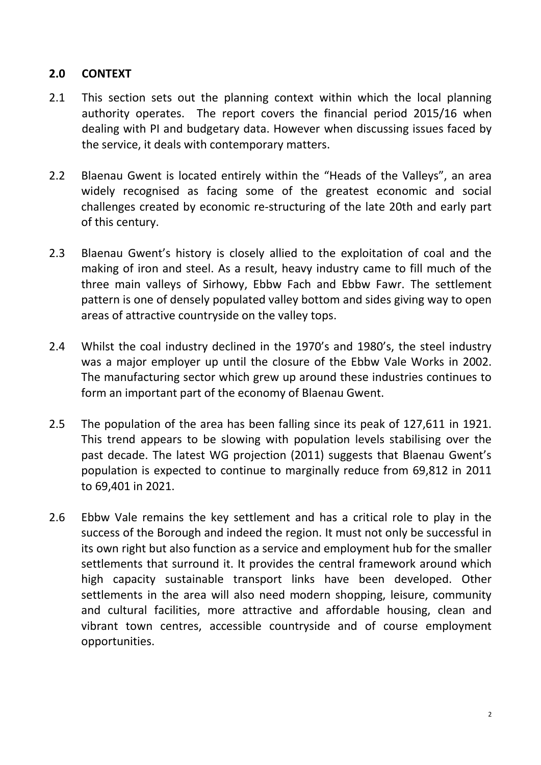## **2.0 CONTEXT**

- 2.1 This section sets out the planning context within which the local planning authority operates. The report covers the financial period 2015/16 when dealing with PI and budgetary data. However when discussing issues faced by the service, it deals with contemporary matters.
- 2.2 Blaenau Gwent is located entirely within the "Heads of the Valleys", an area widely recognised as facing some of the greatest economic and social challenges created by economic re-structuring of the late 20th and early part of this century.
- 2.3 Blaenau Gwent's history is closely allied to the exploitation of coal and the making of iron and steel. As a result, heavy industry came to fill much of the three main valleys of Sirhowy, Ebbw Fach and Ebbw Fawr. The settlement pattern is one of densely populated valley bottom and sides giving way to open areas of attractive countryside on the valley tops.
- 2.4 Whilst the coal industry declined in the 1970's and 1980's, the steel industry was a major employer up until the closure of the Ebbw Vale Works in 2002. The manufacturing sector which grew up around these industries continues to form an important part of the economy of Blaenau Gwent.
- 2.5 The population of the area has been falling since its peak of 127,611 in 1921. This trend appears to be slowing with population levels stabilising over the past decade. The latest WG projection (2011) suggests that Blaenau Gwent's population is expected to continue to marginally reduce from 69,812 in 2011 to 69,401 in 2021.
- 2.6 Ebbw Vale remains the key settlement and has a critical role to play in the success of the Borough and indeed the region. It must not only be successful in its own right but also function as a service and employment hub for the smaller settlements that surround it. It provides the central framework around which high capacity sustainable transport links have been developed. Other settlements in the area will also need modern shopping, leisure, community and cultural facilities, more attractive and affordable housing, clean and vibrant town centres, accessible countryside and of course employment opportunities.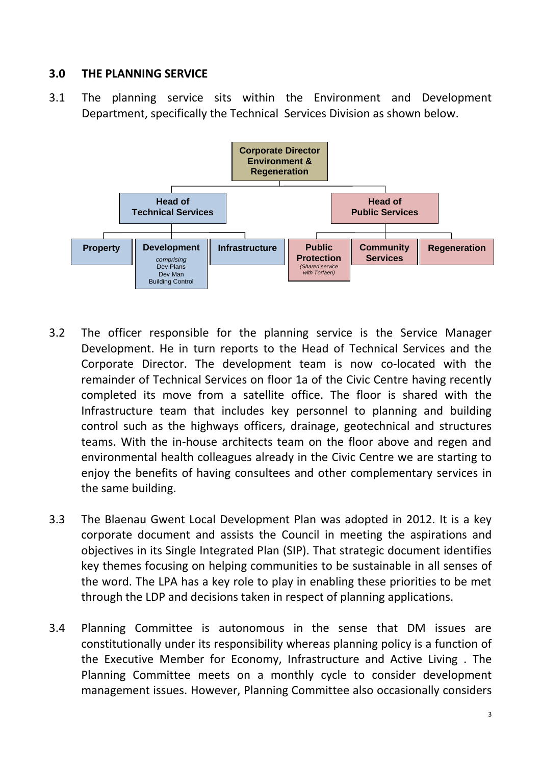## **3.0 THE PLANNING SERVICE**

3.1 The planning service sits within the Environment and Development Department, specifically the Technical Services Division as shown below.



- 3.2 The officer responsible for the planning service is the Service Manager Development. He in turn reports to the Head of Technical Services and the Corporate Director. The development team is now co-located with the remainder of Technical Services on floor 1a of the Civic Centre having recently completed its move from a satellite office. The floor is shared with the Infrastructure team that includes key personnel to planning and building control such as the highways officers, drainage, geotechnical and structures teams. With the in-house architects team on the floor above and regen and environmental health colleagues already in the Civic Centre we are starting to enjoy the benefits of having consultees and other complementary services in the same building.
- 3.3 The Blaenau Gwent Local Development Plan was adopted in 2012. It is a key corporate document and assists the Council in meeting the aspirations and objectives in its Single Integrated Plan (SIP). That strategic document identifies key themes focusing on helping communities to be sustainable in all senses of the word. The LPA has a key role to play in enabling these priorities to be met through the LDP and decisions taken in respect of planning applications.
- 3.4 Planning Committee is autonomous in the sense that DM issues are constitutionally under its responsibility whereas planning policy is a function of the Executive Member for Economy, Infrastructure and Active Living . The Planning Committee meets on a monthly cycle to consider development management issues. However, Planning Committee also occasionally considers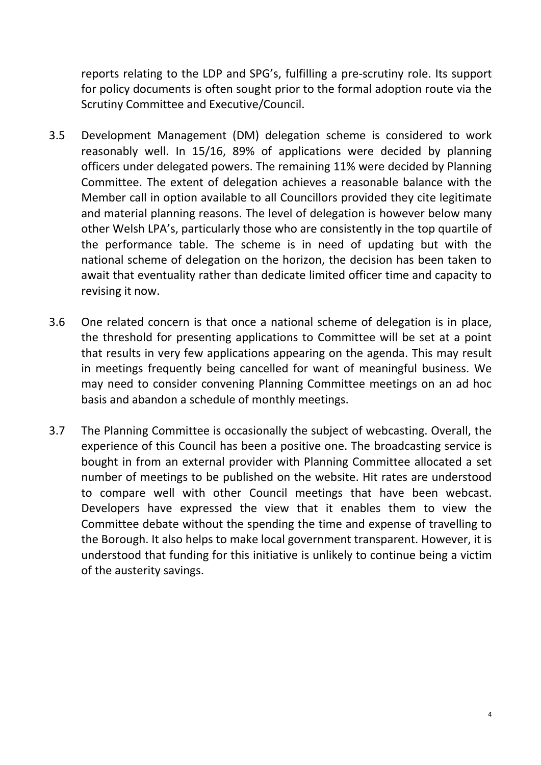reports relating to the LDP and SPG's, fulfilling a pre-scrutiny role. Its support for policy documents is often sought prior to the formal adoption route via the Scrutiny Committee and Executive/Council.

- 3.5 Development Management (DM) delegation scheme is considered to work reasonably well. In 15/16, 89% of applications were decided by planning officers under delegated powers. The remaining 11% were decided by Planning Committee. The extent of delegation achieves a reasonable balance with the Member call in option available to all Councillors provided they cite legitimate and material planning reasons. The level of delegation is however below many other Welsh LPA's, particularly those who are consistently in the top quartile of the performance table. The scheme is in need of updating but with the national scheme of delegation on the horizon, the decision has been taken to await that eventuality rather than dedicate limited officer time and capacity to revising it now.
- 3.6 One related concern is that once a national scheme of delegation is in place, the threshold for presenting applications to Committee will be set at a point that results in very few applications appearing on the agenda. This may result in meetings frequently being cancelled for want of meaningful business. We may need to consider convening Planning Committee meetings on an ad hoc basis and abandon a schedule of monthly meetings.
- 3.7 The Planning Committee is occasionally the subject of webcasting. Overall, the experience of this Council has been a positive one. The broadcasting service is bought in from an external provider with Planning Committee allocated a set number of meetings to be published on the website. Hit rates are understood to compare well with other Council meetings that have been webcast. Developers have expressed the view that it enables them to view the Committee debate without the spending the time and expense of travelling to the Borough. It also helps to make local government transparent. However, it is understood that funding for this initiative is unlikely to continue being a victim of the austerity savings.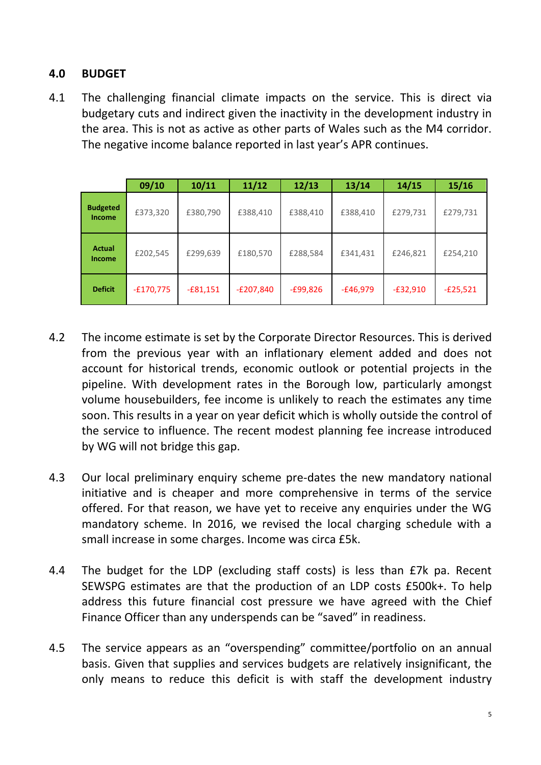## **4.0 BUDGET**

4.1 The challenging financial climate impacts on the service. This is direct via budgetary cuts and indirect given the inactivity in the development industry in the area. This is not as active as other parts of Wales such as the M4 corridor. The negative income balance reported in last year's APR continues.

|                                | 09/10       | 10/11      | 11/12       | 12/13      | 13/14      | 14/15      | 15/16      |
|--------------------------------|-------------|------------|-------------|------------|------------|------------|------------|
| <b>Budgeted</b><br>Income      | £373,320    | £380,790   | £388,410    | £388,410   | £388,410   | £279,731   | £279,731   |
| <b>Actual</b><br><b>Income</b> | £202,545    | £299,639   | £180,570    | £288,584   | £341,431   | £246,821   | £254,210   |
| <b>Deficit</b>                 | $-£170,775$ | $-£81,151$ | $-E207,840$ | $-£99,826$ | $-£46,979$ | $-£32,910$ | $-E25,521$ |

- 4.2 The income estimate is set by the Corporate Director Resources. This is derived from the previous year with an inflationary element added and does not account for historical trends, economic outlook or potential projects in the pipeline. With development rates in the Borough low, particularly amongst volume housebuilders, fee income is unlikely to reach the estimates any time soon. This results in a year on year deficit which is wholly outside the control of the service to influence. The recent modest planning fee increase introduced by WG will not bridge this gap.
- 4.3 Our local preliminary enquiry scheme pre-dates the new mandatory national initiative and is cheaper and more comprehensive in terms of the service offered. For that reason, we have yet to receive any enquiries under the WG mandatory scheme. In 2016, we revised the local charging schedule with a small increase in some charges. Income was circa £5k.
- 4.4 The budget for the LDP (excluding staff costs) is less than £7k pa. Recent SEWSPG estimates are that the production of an LDP costs £500k+. To help address this future financial cost pressure we have agreed with the Chief Finance Officer than any underspends can be "saved" in readiness.
- 4.5 The service appears as an "overspending" committee/portfolio on an annual basis. Given that supplies and services budgets are relatively insignificant, the only means to reduce this deficit is with staff the development industry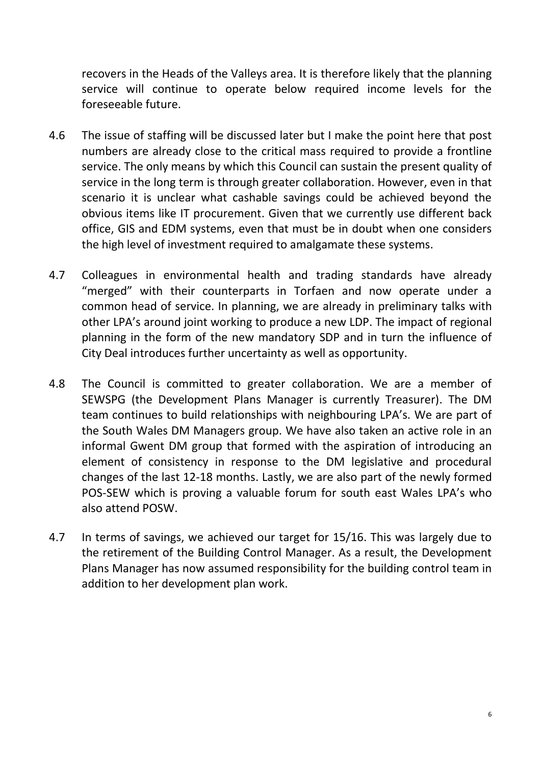recovers in the Heads of the Valleys area. It is therefore likely that the planning service will continue to operate below required income levels for the foreseeable future.

- 4.6 The issue of staffing will be discussed later but I make the point here that post numbers are already close to the critical mass required to provide a frontline service. The only means by which this Council can sustain the present quality of service in the long term is through greater collaboration. However, even in that scenario it is unclear what cashable savings could be achieved beyond the obvious items like IT procurement. Given that we currently use different back office, GIS and EDM systems, even that must be in doubt when one considers the high level of investment required to amalgamate these systems.
- 4.7 Colleagues in environmental health and trading standards have already "merged" with their counterparts in Torfaen and now operate under a common head of service. In planning, we are already in preliminary talks with other LPA's around joint working to produce a new LDP. The impact of regional planning in the form of the new mandatory SDP and in turn the influence of City Deal introduces further uncertainty as well as opportunity.
- 4.8 The Council is committed to greater collaboration. We are a member of SEWSPG (the Development Plans Manager is currently Treasurer). The DM team continues to build relationships with neighbouring LPA's. We are part of the South Wales DM Managers group. We have also taken an active role in an informal Gwent DM group that formed with the aspiration of introducing an element of consistency in response to the DM legislative and procedural changes of the last 12-18 months. Lastly, we are also part of the newly formed POS-SEW which is proving a valuable forum for south east Wales LPA's who also attend POSW.
- 4.7 In terms of savings, we achieved our target for 15/16. This was largely due to the retirement of the Building Control Manager. As a result, the Development Plans Manager has now assumed responsibility for the building control team in addition to her development plan work.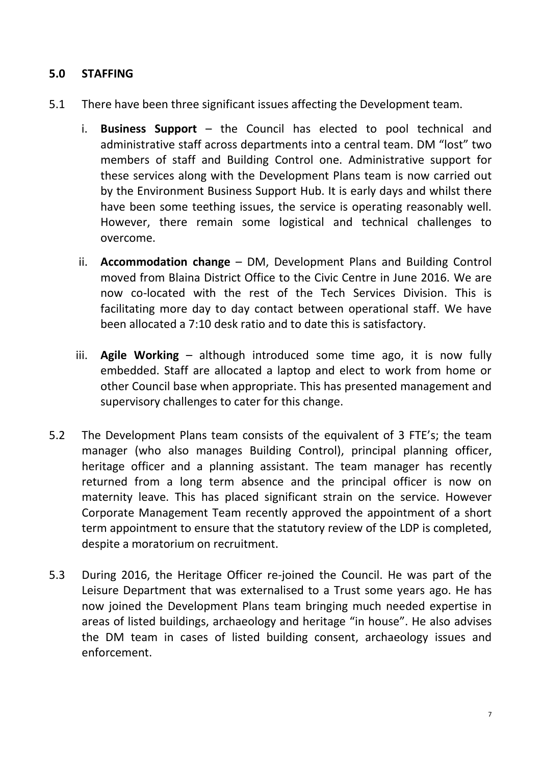## **5.0 STAFFING**

- 5.1 There have been three significant issues affecting the Development team.
	- i. **Business Support** the Council has elected to pool technical and administrative staff across departments into a central team. DM "lost" two members of staff and Building Control one. Administrative support for these services along with the Development Plans team is now carried out by the Environment Business Support Hub. It is early days and whilst there have been some teething issues, the service is operating reasonably well. However, there remain some logistical and technical challenges to overcome.
	- ii. **Accommodation change** DM, Development Plans and Building Control moved from Blaina District Office to the Civic Centre in June 2016. We are now co-located with the rest of the Tech Services Division. This is facilitating more day to day contact between operational staff. We have been allocated a 7:10 desk ratio and to date this is satisfactory.
	- iii. **Agile Working** although introduced some time ago, it is now fully embedded. Staff are allocated a laptop and elect to work from home or other Council base when appropriate. This has presented management and supervisory challenges to cater for this change.
- 5.2 The Development Plans team consists of the equivalent of 3 FTE's; the team manager (who also manages Building Control), principal planning officer, heritage officer and a planning assistant. The team manager has recently returned from a long term absence and the principal officer is now on maternity leave. This has placed significant strain on the service. However Corporate Management Team recently approved the appointment of a short term appointment to ensure that the statutory review of the LDP is completed, despite a moratorium on recruitment.
- 5.3 During 2016, the Heritage Officer re-joined the Council. He was part of the Leisure Department that was externalised to a Trust some years ago. He has now joined the Development Plans team bringing much needed expertise in areas of listed buildings, archaeology and heritage "in house". He also advises the DM team in cases of listed building consent, archaeology issues and enforcement.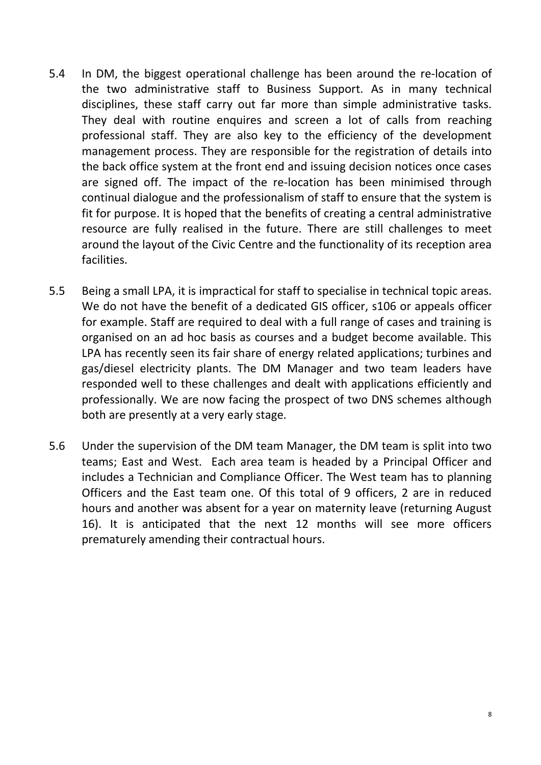- 5.4 In DM, the biggest operational challenge has been around the re-location of the two administrative staff to Business Support. As in many technical disciplines, these staff carry out far more than simple administrative tasks. They deal with routine enquires and screen a lot of calls from reaching professional staff. They are also key to the efficiency of the development management process. They are responsible for the registration of details into the back office system at the front end and issuing decision notices once cases are signed off. The impact of the re-location has been minimised through continual dialogue and the professionalism of staff to ensure that the system is fit for purpose. It is hoped that the benefits of creating a central administrative resource are fully realised in the future. There are still challenges to meet around the layout of the Civic Centre and the functionality of its reception area facilities.
- 5.5 Being a small LPA, it is impractical for staff to specialise in technical topic areas. We do not have the benefit of a dedicated GIS officer, s106 or appeals officer for example. Staff are required to deal with a full range of cases and training is organised on an ad hoc basis as courses and a budget become available. This LPA has recently seen its fair share of energy related applications; turbines and gas/diesel electricity plants. The DM Manager and two team leaders have responded well to these challenges and dealt with applications efficiently and professionally. We are now facing the prospect of two DNS schemes although both are presently at a very early stage.
- 5.6 Under the supervision of the DM team Manager, the DM team is split into two teams; East and West. Each area team is headed by a Principal Officer and includes a Technician and Compliance Officer. The West team has to planning Officers and the East team one. Of this total of 9 officers, 2 are in reduced hours and another was absent for a year on maternity leave (returning August 16). It is anticipated that the next 12 months will see more officers prematurely amending their contractual hours.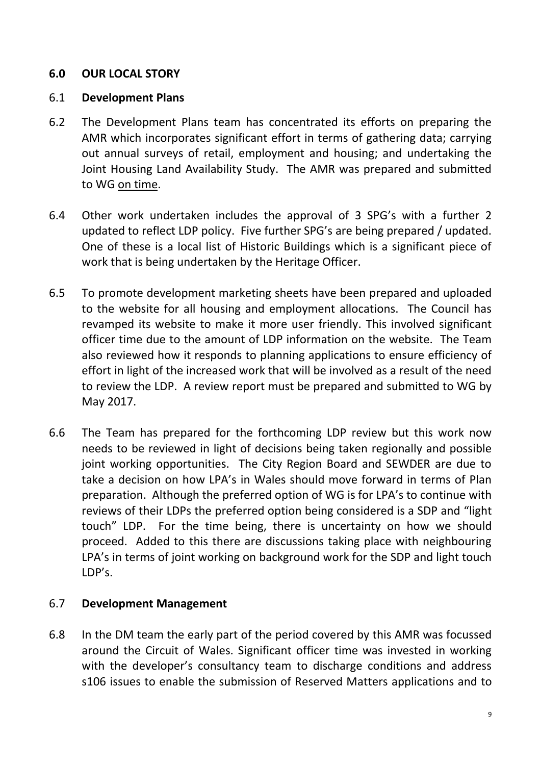## **6.0 OUR LOCAL STORY**

## 6.1 **Development Plans**

- 6.2 The Development Plans team has concentrated its efforts on preparing the AMR which incorporates significant effort in terms of gathering data; carrying out annual surveys of retail, employment and housing; and undertaking the Joint Housing Land Availability Study. The AMR was prepared and submitted to WG on time.
- 6.4 Other work undertaken includes the approval of 3 SPG's with a further 2 updated to reflect LDP policy. Five further SPG's are being prepared / updated. One of these is a local list of Historic Buildings which is a significant piece of work that is being undertaken by the Heritage Officer.
- 6.5 To promote development marketing sheets have been prepared and uploaded to the website for all housing and employment allocations. The Council has revamped its website to make it more user friendly. This involved significant officer time due to the amount of LDP information on the website. The Team also reviewed how it responds to planning applications to ensure efficiency of effort in light of the increased work that will be involved as a result of the need to review the LDP. A review report must be prepared and submitted to WG by May 2017.
- 6.6 The Team has prepared for the forthcoming LDP review but this work now needs to be reviewed in light of decisions being taken regionally and possible joint working opportunities. The City Region Board and SEWDER are due to take a decision on how LPA's in Wales should move forward in terms of Plan preparation. Although the preferred option of WG is for LPA's to continue with reviews of their LDPs the preferred option being considered is a SDP and "light touch" LDP. For the time being, there is uncertainty on how we should proceed. Added to this there are discussions taking place with neighbouring LPA's in terms of joint working on background work for the SDP and light touch LDP's.

## 6.7 **Development Management**

6.8 In the DM team the early part of the period covered by this AMR was focussed around the Circuit of Wales. Significant officer time was invested in working with the developer's consultancy team to discharge conditions and address s106 issues to enable the submission of Reserved Matters applications and to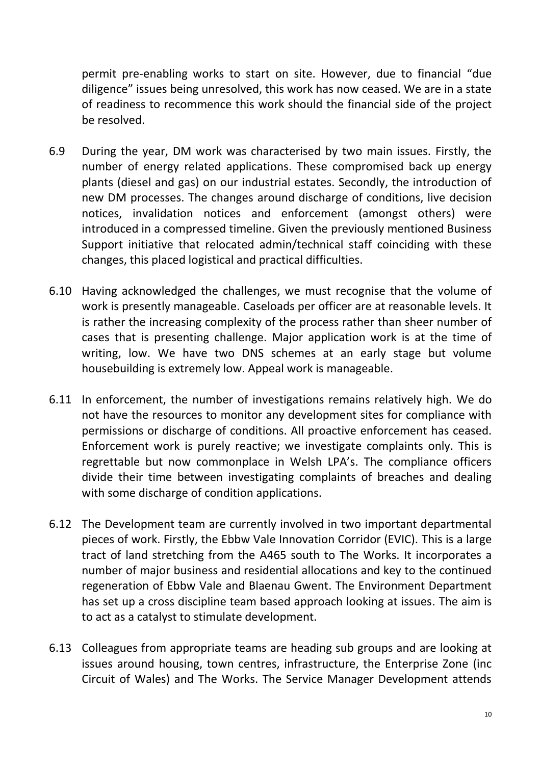permit pre-enabling works to start on site. However, due to financial "due diligence" issues being unresolved, this work has now ceased. We are in a state of readiness to recommence this work should the financial side of the project be resolved.

- 6.9 During the year, DM work was characterised by two main issues. Firstly, the number of energy related applications. These compromised back up energy plants (diesel and gas) on our industrial estates. Secondly, the introduction of new DM processes. The changes around discharge of conditions, live decision notices, invalidation notices and enforcement (amongst others) were introduced in a compressed timeline. Given the previously mentioned Business Support initiative that relocated admin/technical staff coinciding with these changes, this placed logistical and practical difficulties.
- 6.10 Having acknowledged the challenges, we must recognise that the volume of work is presently manageable. Caseloads per officer are at reasonable levels. It is rather the increasing complexity of the process rather than sheer number of cases that is presenting challenge. Major application work is at the time of writing, low. We have two DNS schemes at an early stage but volume housebuilding is extremely low. Appeal work is manageable.
- 6.11 In enforcement, the number of investigations remains relatively high. We do not have the resources to monitor any development sites for compliance with permissions or discharge of conditions. All proactive enforcement has ceased. Enforcement work is purely reactive; we investigate complaints only. This is regrettable but now commonplace in Welsh LPA's. The compliance officers divide their time between investigating complaints of breaches and dealing with some discharge of condition applications.
- 6.12 The Development team are currently involved in two important departmental pieces of work. Firstly, the Ebbw Vale Innovation Corridor (EVIC). This is a large tract of land stretching from the A465 south to The Works. It incorporates a number of major business and residential allocations and key to the continued regeneration of Ebbw Vale and Blaenau Gwent. The Environment Department has set up a cross discipline team based approach looking at issues. The aim is to act as a catalyst to stimulate development.
- 6.13 Colleagues from appropriate teams are heading sub groups and are looking at issues around housing, town centres, infrastructure, the Enterprise Zone (inc Circuit of Wales) and The Works. The Service Manager Development attends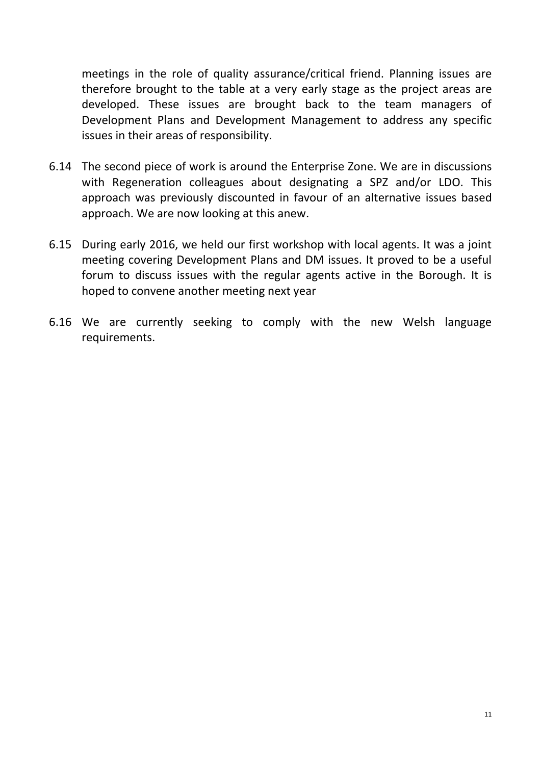meetings in the role of quality assurance/critical friend. Planning issues are therefore brought to the table at a very early stage as the project areas are developed. These issues are brought back to the team managers of Development Plans and Development Management to address any specific issues in their areas of responsibility.

- 6.14 The second piece of work is around the Enterprise Zone. We are in discussions with Regeneration colleagues about designating a SPZ and/or LDO. This approach was previously discounted in favour of an alternative issues based approach. We are now looking at this anew.
- 6.15 During early 2016, we held our first workshop with local agents. It was a joint meeting covering Development Plans and DM issues. It proved to be a useful forum to discuss issues with the regular agents active in the Borough. It is hoped to convene another meeting next year
- 6.16 We are currently seeking to comply with the new Welsh language requirements.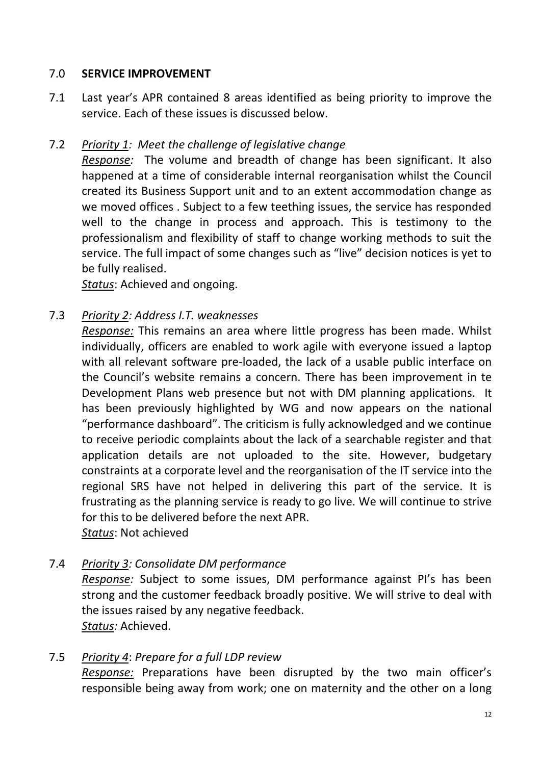## 7.0 **SERVICE IMPROVEMENT**

7.1 Last year's APR contained 8 areas identified as being priority to improve the service. Each of these issues is discussed below.

## 7.2 *Priority 1: Meet the challenge of legislative change*

*Response:* The volume and breadth of change has been significant. It also happened at a time of considerable internal reorganisation whilst the Council created its Business Support unit and to an extent accommodation change as we moved offices . Subject to a few teething issues, the service has responded well to the change in process and approach. This is testimony to the professionalism and flexibility of staff to change working methods to suit the service. The full impact of some changes such as "live" decision notices is yet to be fully realised.

*Status*: Achieved and ongoing.

## 7.3 *Priority 2: Address I.T. weaknesses*

*Response:* This remains an area where little progress has been made. Whilst individually, officers are enabled to work agile with everyone issued a laptop with all relevant software pre-loaded, the lack of a usable public interface on the Council's website remains a concern. There has been improvement in te Development Plans web presence but not with DM planning applications. It has been previously highlighted by WG and now appears on the national "performance dashboard". The criticism is fully acknowledged and we continue to receive periodic complaints about the lack of a searchable register and that application details are not uploaded to the site. However, budgetary constraints at a corporate level and the reorganisation of the IT service into the regional SRS have not helped in delivering this part of the service. It is frustrating as the planning service is ready to go live. We will continue to strive for this to be delivered before the next APR. *Status*: Not achieved

7.4 *Priority 3: Consolidate DM performance*

*Response:* Subject to some issues, DM performance against PI's has been strong and the customer feedback broadly positive. We will strive to deal with the issues raised by any negative feedback. *Status:* Achieved.

## 7.5 *Priority 4*: *Prepare for a full LDP review*

*Response:* Preparations have been disrupted by the two main officer's responsible being away from work; one on maternity and the other on a long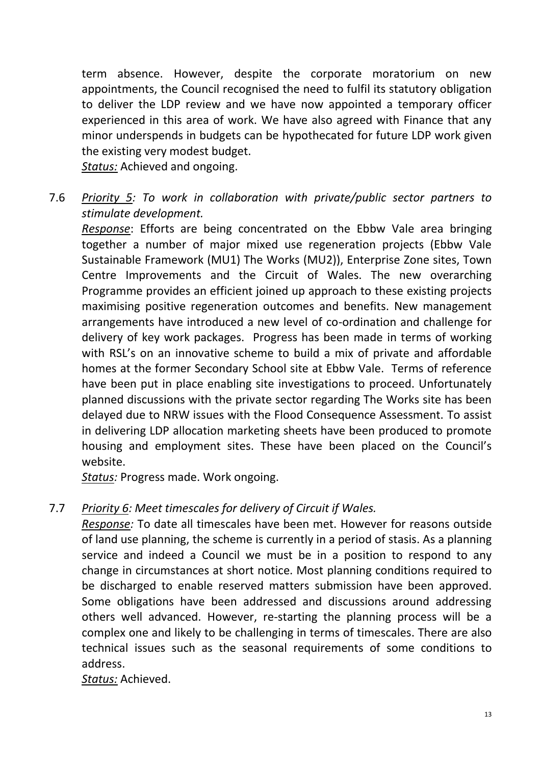term absence. However, despite the corporate moratorium on new appointments, the Council recognised the need to fulfil its statutory obligation to deliver the LDP review and we have now appointed a temporary officer experienced in this area of work. We have also agreed with Finance that any minor underspends in budgets can be hypothecated for future LDP work given the existing very modest budget.

*Status:* Achieved and ongoing.

7.6 *Priority 5: To work in collaboration with private/public sector partners to stimulate development.*

*Response*: Efforts are being concentrated on the Ebbw Vale area bringing together a number of major mixed use regeneration projects (Ebbw Vale Sustainable Framework (MU1) The Works (MU2)), Enterprise Zone sites, Town Centre Improvements and the Circuit of Wales. The new overarching Programme provides an efficient joined up approach to these existing projects maximising positive regeneration outcomes and benefits. New management arrangements have introduced a new level of co-ordination and challenge for delivery of key work packages. Progress has been made in terms of working with RSL's on an innovative scheme to build a mix of private and affordable homes at the former Secondary School site at Ebbw Vale. Terms of reference have been put in place enabling site investigations to proceed. Unfortunately planned discussions with the private sector regarding The Works site has been delayed due to NRW issues with the Flood Consequence Assessment. To assist in delivering LDP allocation marketing sheets have been produced to promote housing and employment sites. These have been placed on the Council's website.

*Status:* Progress made. Work ongoing.

## 7.7 *Priority 6: Meet timescales for delivery of Circuit if Wales.*

*Response:* To date all timescales have been met. However for reasons outside of land use planning, the scheme is currently in a period of stasis. As a planning service and indeed a Council we must be in a position to respond to any change in circumstances at short notice. Most planning conditions required to be discharged to enable reserved matters submission have been approved. Some obligations have been addressed and discussions around addressing others well advanced. However, re-starting the planning process will be a complex one and likely to be challenging in terms of timescales. There are also technical issues such as the seasonal requirements of some conditions to address.

*Status:* Achieved.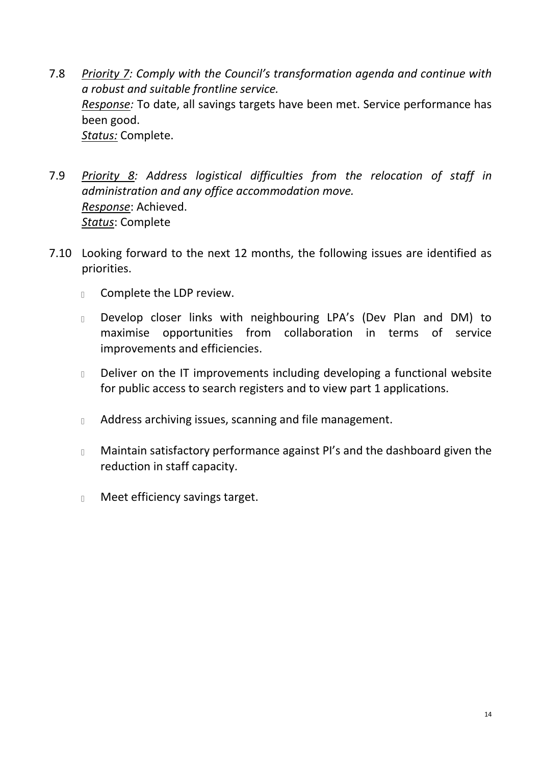- 7.8 *Priority 7: Comply with the Council's transformation agenda and continue with a robust and suitable frontline service. Response:* To date, all savings targets have been met. Service performance has been good. *Status:* Complete.
- 7.9 *Priority 8: Address logistical difficulties from the relocation of staff in administration and any office accommodation move. Response*: Achieved. *Status*: Complete
- 7.10 Looking forward to the next 12 months, the following issues are identified as priorities.
	- Complete the LDP review.  $\mathbb{R}$
	- Develop closer links with neighbouring LPA's (Dev Plan and DM) to  $\Box$ maximise opportunities from collaboration in terms of service improvements and efficiencies.
	- Deliver on the IT improvements including developing a functional website  $\mathbb{L}$ for public access to search registers and to view part 1 applications.
	- Address archiving issues, scanning and file management.  $\Box$
	- Maintain satisfactory performance against PI's and the dashboard given the  $\mathbb{L}$ reduction in staff capacity.
	- Meet efficiency savings target. $\mathbb{L}$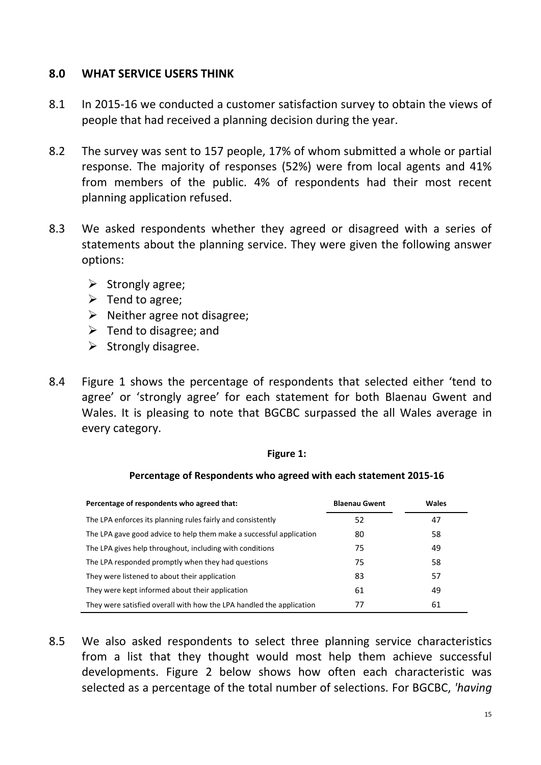## **8.0 WHAT SERVICE USERS THINK**

- 8.1 In 2015-16 we conducted a customer satisfaction survey to obtain the views of people that had received a planning decision during the year.
- 8.2 The survey was sent to 157 people, 17% of whom submitted a whole or partial response. The majority of responses (52%) were from local agents and 41% from members of the public. 4% of respondents had their most recent planning application refused.
- 8.3 We asked respondents whether they agreed or disagreed with a series of statements about the planning service. They were given the following answer options:
	- $\triangleright$  Strongly agree:
	- $\triangleright$  Tend to agree;
	- $\triangleright$  Neither agree not disagree;
	- $\triangleright$  Tend to disagree; and
	- $\triangleright$  Strongly disagree.
- 8.4 Figure 1 shows the percentage of respondents that selected either 'tend to agree' or 'strongly agree' for each statement for both Blaenau Gwent and Wales. It is pleasing to note that BGCBC surpassed the all Wales average in every category.

### **Figure 1:**

### **Percentage of Respondents who agreed with each statement 2015-16**

| Percentage of respondents who agreed that:                           | <b>Blaenau Gwent</b> | <b>Wales</b> |
|----------------------------------------------------------------------|----------------------|--------------|
| The LPA enforces its planning rules fairly and consistently          | 52                   | 47           |
| The LPA gave good advice to help them make a successful application  | 80                   | 58           |
| The LPA gives help throughout, including with conditions             | 75                   | 49           |
| The LPA responded promptly when they had questions                   | 75                   | 58           |
| They were listened to about their application                        | 83                   | 57           |
| They were kept informed about their application                      | 61                   | 49           |
| They were satisfied overall with how the LPA handled the application | 77                   | 61           |

8.5 We also asked respondents to select three planning service characteristics from a list that they thought would most help them achieve successful developments. Figure 2 below shows how often each characteristic was selected as a percentage of the total number of selections. For BGCBC, *'having*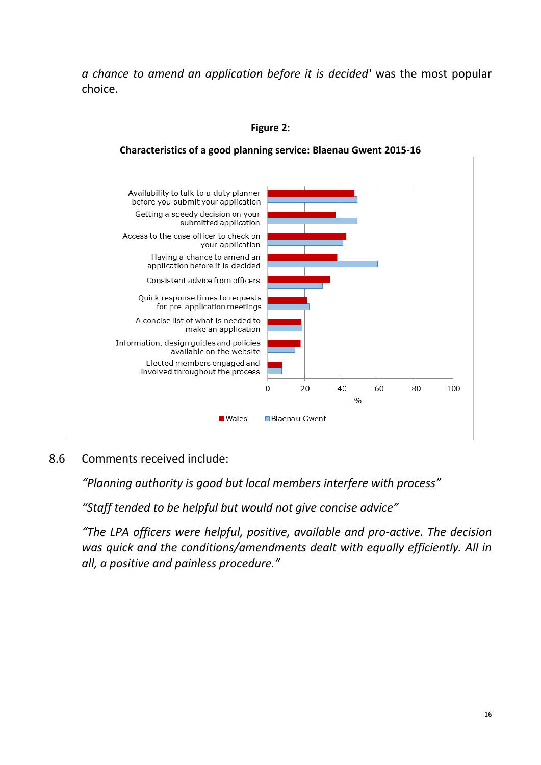*a chance to amend an application before it is decided'* was the most popular choice.

### **Figure 2:**

#### Availability to talk to a duty planner before you submit your application Getting a speedy decision on your submitted application Access to the case officer to check on your application Having a chance to amend an application before it is decided Consistent advice from officers Quick response times to requests for pre-application meetings A concise list of what is needed to make an application Information, design guides and policies available on the website Elected members engaged and involved throughout the process  $\mathbf 0$ 20 40 60 80 100  $O<sub>0</sub>$ ■ Wales **Blaenau Gwent**

### **Characteristics of a good planning service: Blaenau Gwent 2015-16**

### 8.6 Comments received include:

*"Planning authority is good but local members interfere with process"*

*"Staff tended to be helpful but would not give concise advice"*

*"The LPA officers were helpful, positive, available and pro-active. The decision was quick and the conditions/amendments dealt with equally efficiently. All in all, a positive and painless procedure."*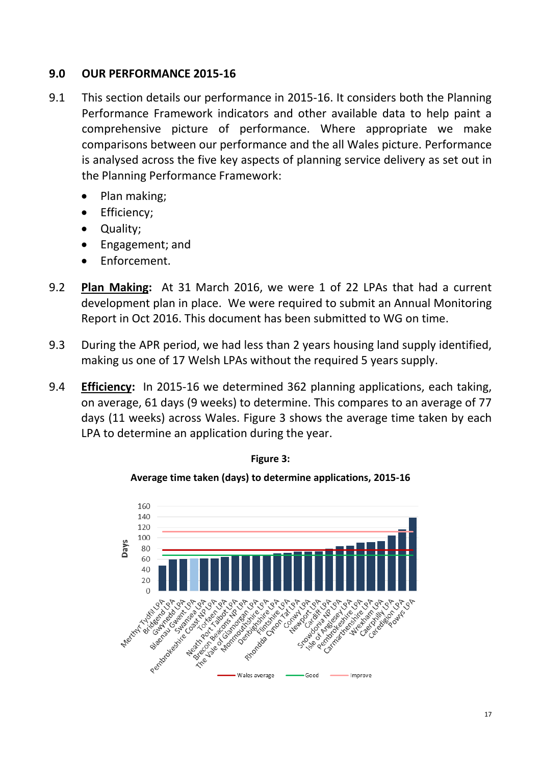## **9.0 OUR PERFORMANCE 2015-16**

- 9.1 This section details our performance in 2015-16. It considers both the Planning Performance Framework indicators and other available data to help paint a comprehensive picture of performance. Where appropriate we make comparisons between our performance and the all Wales picture. Performance is analysed across the five key aspects of planning service delivery as set out in the Planning Performance Framework:
	- Plan making;
	- Efficiency;
	- Quality;
	- Engagement; and
	- Enforcement.
- 9.2 **Plan Making:** At 31 March 2016, we were 1 of 22 LPAs that had a current development plan in place. We were required to submit an Annual Monitoring Report in Oct 2016. This document has been submitted to WG on time.
- 9.3 During the APR period, we had less than 2 years housing land supply identified, making us one of 17 Welsh LPAs without the required 5 years supply.
- 9.4 **Efficiency:** In 2015-16 we determined 362 planning applications, each taking, on average, 61 days (9 weeks) to determine. This compares to an average of 77 days (11 weeks) across Wales. Figure 3 shows the average time taken by each LPA to determine an application during the year.





**Average time taken (days) to determine applications, 2015-16**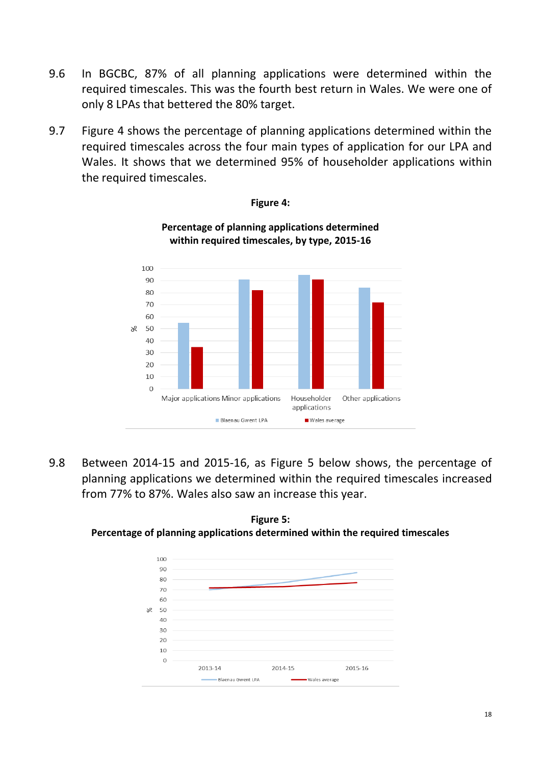- 9.6 In BGCBC, 87% of all planning applications were determined within the required timescales. This was the fourth best return in Wales. We were one of only 8 LPAs that bettered the 80% target.
- 9.7 Figure 4 shows the percentage of planning applications determined within the required timescales across the four main types of application for our LPA and Wales. It shows that we determined 95% of householder applications within the required timescales.



### **Figure 4:**

**Percentage of planning applications determined within required timescales, by type, 2015-16**

9.8 Between 2014-15 and 2015-16, as Figure 5 below shows, the percentage of planning applications we determined within the required timescales increased from 77% to 87%. Wales also saw an increase this year.



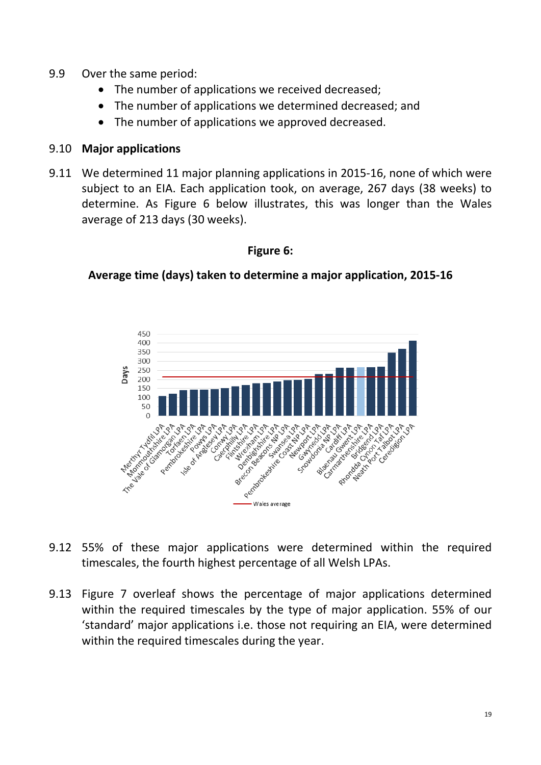- 9.9 Over the same period:
	- The number of applications we received decreased;
	- The number of applications we determined decreased: and
	- The number of applications we approved decreased.

### 9.10 **Major applications**

9.11 We determined 11 major planning applications in 2015-16, none of which were subject to an EIA. Each application took, on average, 267 days (38 weeks) to determine. As Figure 6 below illustrates, this was longer than the Wales average of 213 days (30 weeks).

### **Figure 6:**

## **Average time (days) taken to determine a major application, 2015-16**



- 9.12 55% of these major applications were determined within the required timescales, the fourth highest percentage of all Welsh LPAs.
- 9.13 Figure 7 overleaf shows the percentage of major applications determined within the required timescales by the type of major application. 55% of our 'standard' major applications i.e. those not requiring an EIA, were determined within the required timescales during the year.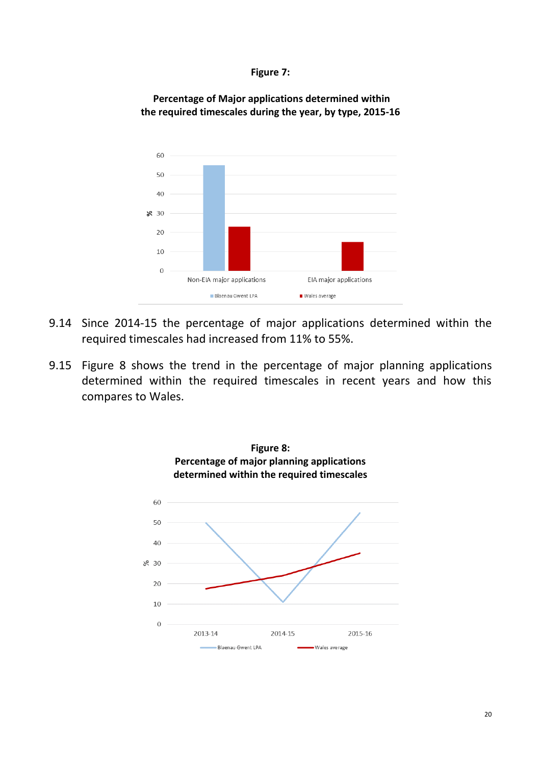



**Percentage of Major applications determined within the required timescales during the year, by type, 2015-16**

- 9.14 Since 2014-15 the percentage of major applications determined within the required timescales had increased from 11% to 55%.
- 9.15 Figure 8 shows the trend in the percentage of major planning applications determined within the required timescales in recent years and how this compares to Wales.

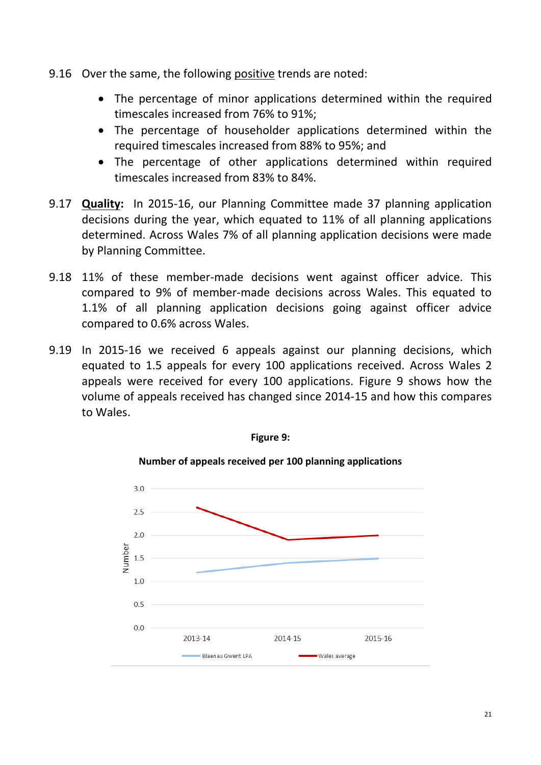- 9.16 Over the same, the following positive trends are noted:
	- The percentage of minor applications determined within the required timescales increased from 76% to 91%;
	- The percentage of householder applications determined within the required timescales increased from 88% to 95%; and
	- The percentage of other applications determined within required timescales increased from 83% to 84%.
- 9.17 **Quality:** In 2015-16, our Planning Committee made 37 planning application decisions during the year, which equated to 11% of all planning applications determined. Across Wales 7% of all planning application decisions were made by Planning Committee.
- 9.18 11% of these member-made decisions went against officer advice. This compared to 9% of member-made decisions across Wales. This equated to 1.1% of all planning application decisions going against officer advice compared to 0.6% across Wales.
- 9.19 In 2015-16 we received 6 appeals against our planning decisions, which equated to 1.5 appeals for every 100 applications received. Across Wales 2 appeals were received for every 100 applications. Figure 9 shows how the volume of appeals received has changed since 2014-15 and how this compares to Wales.



**Figure 9:**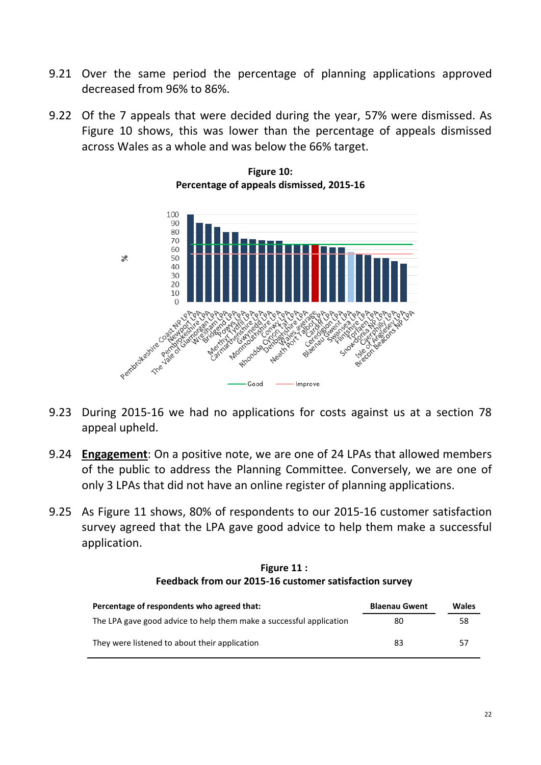- 9.21 Over the same period the percentage of planning applications approved decreased from 96% to 86%.
- 9.22 Of the 7 appeals that were decided during the year, 57% were dismissed. As Figure 10 shows, this was lower than the percentage of appeals dismissed across Wales as a whole and was below the 66% target.



**Figure 10: Percentage of appeals dismissed, 2015-16**

- 9.23 During 2015-16 we had no applications for costs against us at a section 78 appeal upheld.
- 9.24 **Engagement**: On a positive note, we are one of 24 LPAs that allowed members of the public to address the Planning Committee. Conversely, we are one of only 3 LPAs that did not have an online register of planning applications.
- 9.25 As Figure 11 shows, 80% of respondents to our 2015-16 customer satisfaction survey agreed that the LPA gave good advice to help them make a successful application.

### **Figure 11 : Feedback from our 2015-16 customer satisfaction survey**

| Percentage of respondents who agreed that:                          | <b>Blaenau Gwent</b> | Wales |
|---------------------------------------------------------------------|----------------------|-------|
| The LPA gave good advice to help them make a successful application | 80                   | 58    |
| They were listened to about their application                       | 83                   | 57    |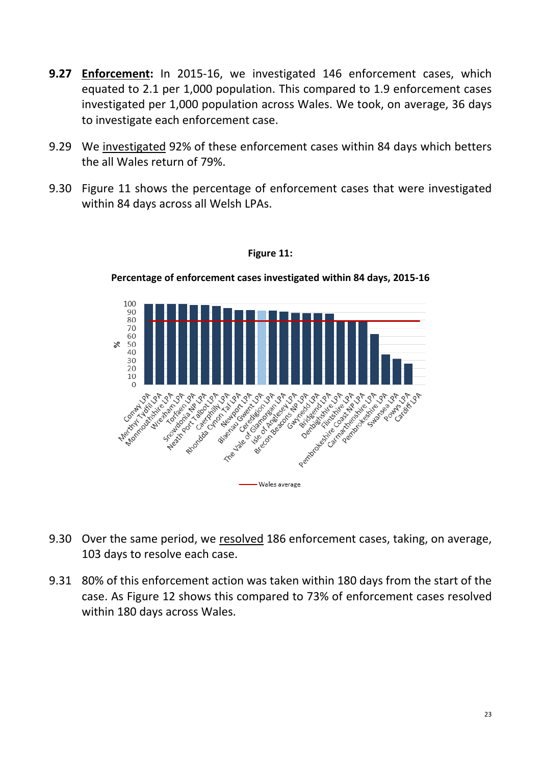- **9.27 Enforcement:** In 2015-16, we investigated 146 enforcement cases, which equated to 2.1 per 1,000 population. This compared to 1.9 enforcement cases investigated per 1,000 population across Wales. We took, on average, 36 days to investigate each enforcement case.
- 9.29 We investigated 92% of these enforcement cases within 84 days which betters the all Wales return of 79%.
- 9.30 Figure 11 shows the percentage of enforcement cases that were investigated within 84 days across all Welsh LPAs.



**Percentage of enforcement cases investigated within 84 days, 2015-16**

**Figure 11:** 

- 9.30 Over the same period, we resolved 186 enforcement cases, taking, on average, 103 days to resolve each case.
- 9.31 80% of this enforcement action was taken within 180 days from the start of the case. As Figure 12 shows this compared to 73% of enforcement cases resolved within 180 days across Wales.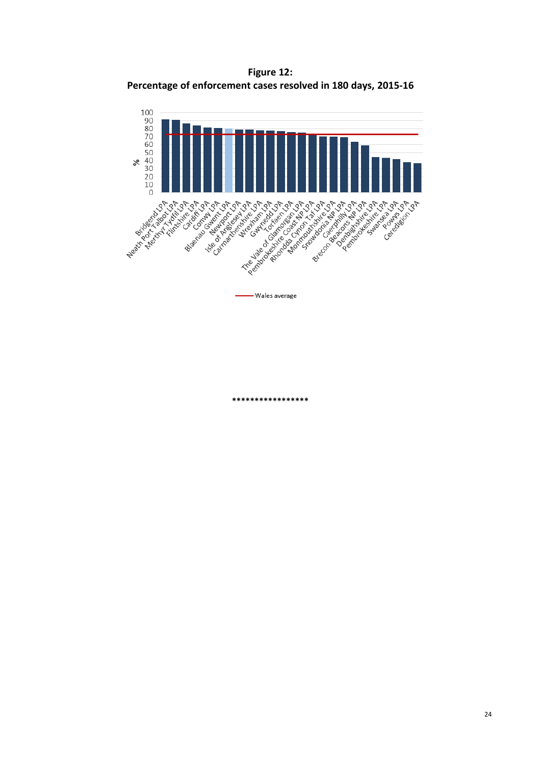**Figure 12: Percentage of enforcement cases resolved in 180 days, 2015-16**



- Wales average

**\*\*\*\*\*\*\*\*\*\*\*\*\*\*\*\*\***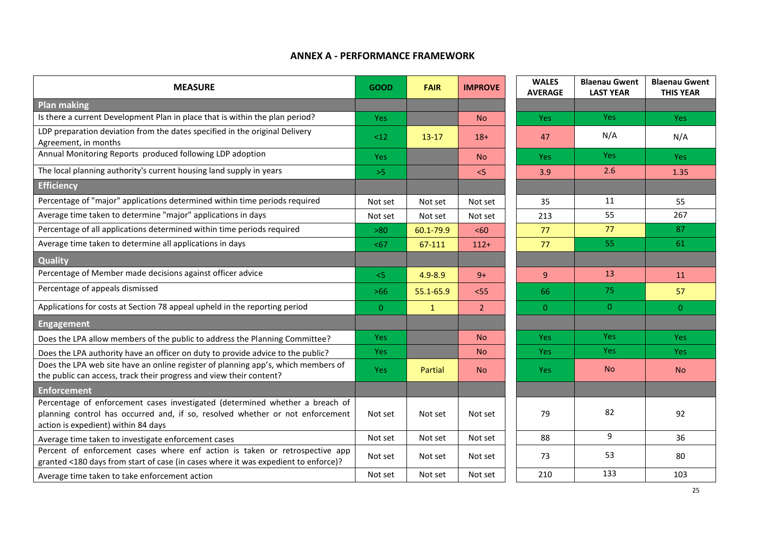### **ANNEX A - PERFORMANCE FRAMEWORK**

| <b>MEASURE</b>                                                                                                                                                                                       | <b>GOOD</b>    | <b>FAIR</b>  | <b>IMPROVE</b> | <b>WALES</b><br><b>AVERAGE</b> | <b>Blaenau Gwent</b><br><b>LAST YEAR</b> | <b>Blaenau Gwent</b><br><b>THIS YEAR</b> |
|------------------------------------------------------------------------------------------------------------------------------------------------------------------------------------------------------|----------------|--------------|----------------|--------------------------------|------------------------------------------|------------------------------------------|
| <b>Plan making</b>                                                                                                                                                                                   |                |              |                |                                |                                          |                                          |
| Is there a current Development Plan in place that is within the plan period?                                                                                                                         | <b>Yes</b>     |              | <b>No</b>      | <b>Yes</b>                     | Yes:                                     | <b>Yes</b>                               |
| LDP preparation deviation from the dates specified in the original Delivery<br>Agreement, in months                                                                                                  | <12            | $13-17$      | $18+$          | 47                             | N/A                                      | N/A                                      |
| Annual Monitoring Reports produced following LDP adoption                                                                                                                                            | <b>Yes</b>     |              | <b>No</b>      | <b>Yes</b>                     | <b>Yes</b>                               | Yes:                                     |
| The local planning authority's current housing land supply in years                                                                                                                                  | $>5$           |              | < 5            | 3.9                            | 2.6                                      | 1.35                                     |
| <b>Efficiency</b>                                                                                                                                                                                    |                |              |                |                                |                                          |                                          |
| Percentage of "major" applications determined within time periods required                                                                                                                           | Not set        | Not set      | Not set        | 35                             | 11                                       | 55                                       |
| Average time taken to determine "major" applications in days                                                                                                                                         | Not set        | Not set      | Not set        | 213                            | 55                                       | 267                                      |
| Percentage of all applications determined within time periods required                                                                                                                               | >80            | 60.1-79.9    | <60            | 77                             | 77                                       | 87                                       |
| Average time taken to determine all applications in days                                                                                                                                             | $67$           | 67-111       | $112+$         | 77                             | 55                                       | 61                                       |
| Quality                                                                                                                                                                                              |                |              |                |                                |                                          |                                          |
| Percentage of Member made decisions against officer advice                                                                                                                                           | 5<             | $4.9 - 8.9$  | $9+$           | $\overline{9}$                 | 13                                       | 11                                       |
| Percentage of appeals dismissed                                                                                                                                                                      | $>66$          | 55.1-65.9    | $<$ 55         | 66                             | 75                                       | 57                                       |
| Applications for costs at Section 78 appeal upheld in the reporting period                                                                                                                           | $\overline{0}$ | $\mathbf{1}$ | 2 <sup>1</sup> | $\overline{0}$                 | $\overline{0}$                           | $\overline{0}$                           |
| <b>Engagement</b>                                                                                                                                                                                    |                |              |                |                                |                                          |                                          |
| Does the LPA allow members of the public to address the Planning Committee?                                                                                                                          | <b>Yes</b>     |              | <b>No</b>      | <b>Yes</b>                     | Yes                                      | <b>Yes</b>                               |
| Does the LPA authority have an officer on duty to provide advice to the public?                                                                                                                      | <b>Yes</b>     |              | <b>No</b>      | <b>Yes</b>                     | <b>Yes</b>                               | <b>Yes</b>                               |
| Does the LPA web site have an online register of planning app's, which members of<br>the public can access, track their progress and view their content?                                             | Yes:           | Partial      | <b>No</b>      | Yes:                           | N <sub>o</sub>                           | <b>No</b>                                |
| <b>Enforcement</b>                                                                                                                                                                                   |                |              |                |                                |                                          |                                          |
| Percentage of enforcement cases investigated (determined whether a breach of<br>planning control has occurred and, if so, resolved whether or not enforcement<br>action is expedient) within 84 days | Not set        | Not set      | Not set        | 79                             | 82                                       | 92                                       |
| Average time taken to investigate enforcement cases                                                                                                                                                  | Not set        | Not set      | Not set        | 88                             | 9                                        | 36                                       |
| Percent of enforcement cases where enf action is taken or retrospective app<br>granted <180 days from start of case (in cases where it was expedient to enforce)?                                    | Not set        | Not set      | Not set        | 73                             | 53                                       | 80                                       |
| Average time taken to take enforcement action                                                                                                                                                        | Not set        | Not set      | Not set        | 210                            | 133                                      | 103                                      |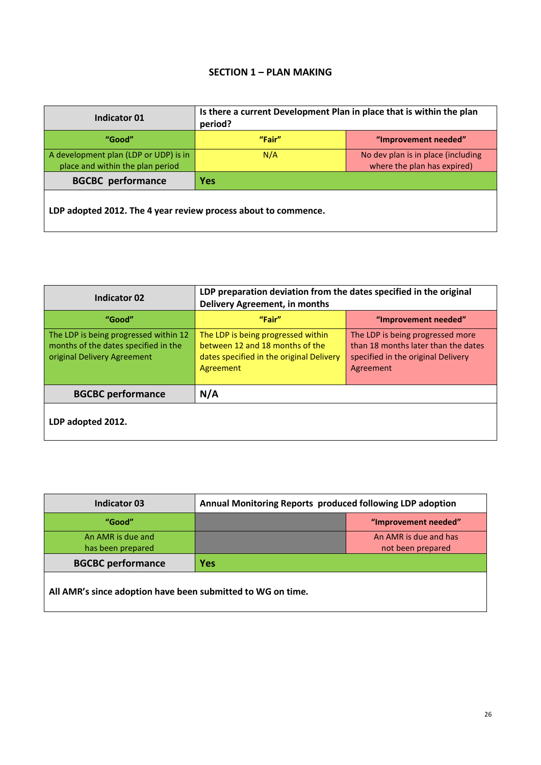### **SECTION 1 – PLAN MAKING**

| Indicator 01                                                              | Is there a current Development Plan in place that is within the plan<br>period? |                                                                   |  |  |
|---------------------------------------------------------------------------|---------------------------------------------------------------------------------|-------------------------------------------------------------------|--|--|
| "Good"                                                                    | "Fair"                                                                          | "Improvement needed"                                              |  |  |
| A development plan (LDP or UDP) is in<br>place and within the plan period | N/A                                                                             | No dev plan is in place (including<br>where the plan has expired) |  |  |
| <b>BGCBC</b> performance                                                  | <b>Yes</b>                                                                      |                                                                   |  |  |
| LDP adopted 2012. The 4 year review process about to commence.            |                                                                                 |                                                                   |  |  |

| <b>Indicator 02</b>                                                                                          | LDP preparation deviation from the dates specified in the original<br><b>Delivery Agreement, in months</b>                     |                                                                                                                            |  |  |
|--------------------------------------------------------------------------------------------------------------|--------------------------------------------------------------------------------------------------------------------------------|----------------------------------------------------------------------------------------------------------------------------|--|--|
| "Good"                                                                                                       | "Fair"                                                                                                                         | "Improvement needed"                                                                                                       |  |  |
| The LDP is being progressed within 12<br>months of the dates specified in the<br>original Delivery Agreement | The LDP is being progressed within<br>between 12 and 18 months of the<br>dates specified in the original Delivery<br>Agreement | The LDP is being progressed more<br>than 18 months later than the dates<br>specified in the original Delivery<br>Agreement |  |  |
| <b>BGCBC performance</b>                                                                                     | N/A                                                                                                                            |                                                                                                                            |  |  |
| LDP adopted 2012.                                                                                            |                                                                                                                                |                                                                                                                            |  |  |

| <b>Indicator 03</b>                                         | Annual Monitoring Reports produced following LDP adoption |                                            |  |
|-------------------------------------------------------------|-----------------------------------------------------------|--------------------------------------------|--|
| "Good"                                                      |                                                           | "Improvement needed"                       |  |
| An AMR is due and<br>has been prepared                      |                                                           | An AMR is due and has<br>not been prepared |  |
| <b>BGCBC performance</b>                                    | Yes                                                       |                                            |  |
| All AMR's since adoption have been submitted to WG on time. |                                                           |                                            |  |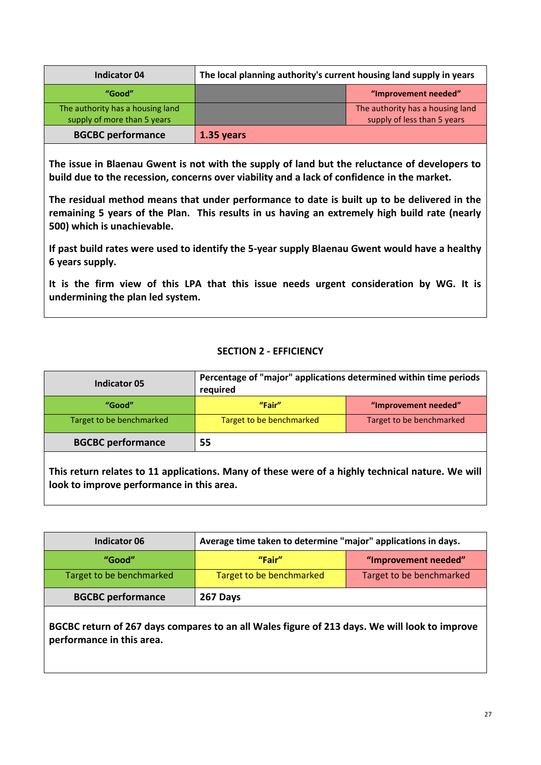| <b>Indicator 04</b>                                             | The local planning authority's current housing land supply in years |                                                                 |
|-----------------------------------------------------------------|---------------------------------------------------------------------|-----------------------------------------------------------------|
| "Good"                                                          |                                                                     | "Improvement needed"                                            |
| The authority has a housing land<br>supply of more than 5 years |                                                                     | The authority has a housing land<br>supply of less than 5 years |
| <b>BGCBC performance</b>                                        | 1.35 years                                                          |                                                                 |

**The issue in Blaenau Gwent is not with the supply of land but the reluctance of developers to build due to the recession, concerns over viability and a lack of confidence in the market.** 

**The residual method means that under performance to date is built up to be delivered in the remaining 5 years of the Plan. This results in us having an extremely high build rate (nearly 500) which is unachievable.** 

**If past build rates were used to identify the 5-year supply Blaenau Gwent would have a healthy 6 years supply.**

**It is the firm view of this LPA that this issue needs urgent consideration by WG. It is undermining the plan led system.**

### **SECTION 2 - EFFICIENCY**

| <b>Indicator 05</b>      | Percentage of "major" applications determined within time periods<br>required |                          |  |
|--------------------------|-------------------------------------------------------------------------------|--------------------------|--|
| "Good"                   | "Fair"                                                                        | "Improvement needed"     |  |
| Target to be benchmarked | Target to be benchmarked                                                      | Target to be benchmarked |  |
| <b>BGCBC performance</b> | 55                                                                            |                          |  |
|                          |                                                                               |                          |  |

**This return relates to 11 applications. Many of these were of a highly technical nature. We will look to improve performance in this area.**

| Indicator 06             | Average time taken to determine "major" applications in days. |                          |  |
|--------------------------|---------------------------------------------------------------|--------------------------|--|
| "Good"                   | "Fair"                                                        | "Improvement needed"     |  |
| Target to be benchmarked | Target to be benchmarked                                      | Target to be benchmarked |  |
| <b>BGCBC performance</b> | 267 Days                                                      |                          |  |

**BGCBC return of 267 days compares to an all Wales figure of 213 days. We will look to improve performance in this area.**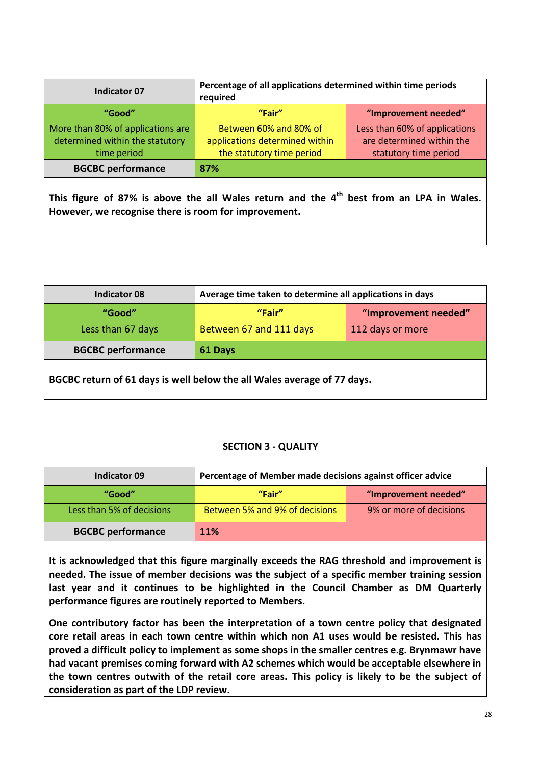| Indicator 07                                                                                                                                      | Percentage of all applications determined within time periods<br>required |                               |  |  |
|---------------------------------------------------------------------------------------------------------------------------------------------------|---------------------------------------------------------------------------|-------------------------------|--|--|
| "Good"                                                                                                                                            | "Fair"                                                                    | "Improvement needed"          |  |  |
| More than 80% of applications are                                                                                                                 | Between 60% and 80% of                                                    | Less than 60% of applications |  |  |
| determined within the statutory                                                                                                                   | applications determined within                                            | are determined within the     |  |  |
| time period                                                                                                                                       | the statutory time period                                                 | statutory time period         |  |  |
| <b>BGCBC performance</b>                                                                                                                          | 87%                                                                       |                               |  |  |
| This figure of 87% is above the all Wales return and the $4th$ best from an LPA in Wales.<br>However, we recognise there is room for improvement. |                                                                           |                               |  |  |

| <b>Indicator 08</b>      | Average time taken to determine all applications in days |                      |  |
|--------------------------|----------------------------------------------------------|----------------------|--|
| "Good"                   | "Fair"                                                   | "Improvement needed" |  |
| Less than 67 days        | Between 67 and 111 days                                  | 112 days or more     |  |
| <b>BGCBC performance</b> | 61 Days                                                  |                      |  |
|                          |                                                          |                      |  |

**BGCBC return of 61 days is well below the all Wales average of 77 days.**

### **SECTION 3 - QUALITY**

| Indicator 09              | Percentage of Member made decisions against officer advice |                         |
|---------------------------|------------------------------------------------------------|-------------------------|
| "Good"                    | "Fair"                                                     | "Improvement needed"    |
| Less than 5% of decisions | Between 5% and 9% of decisions                             | 9% or more of decisions |
| <b>BGCBC performance</b>  | <b>11%</b>                                                 |                         |

**It is acknowledged that this figure marginally exceeds the RAG threshold and improvement is needed. The issue of member decisions was the subject of a specific member training session last year and it continues to be highlighted in the Council Chamber as DM Quarterly performance figures are routinely reported to Members.** 

**One contributory factor has been the interpretation of a town centre policy that designated core retail areas in each town centre within which non A1 uses would be resisted. This has proved a difficult policy to implement as some shops in the smaller centres e.g. Brynmawr have had vacant premises coming forward with A2 schemes which would be acceptable elsewhere in the town centres outwith of the retail core areas. This policy is likely to be the subject of consideration as part of the LDP review.**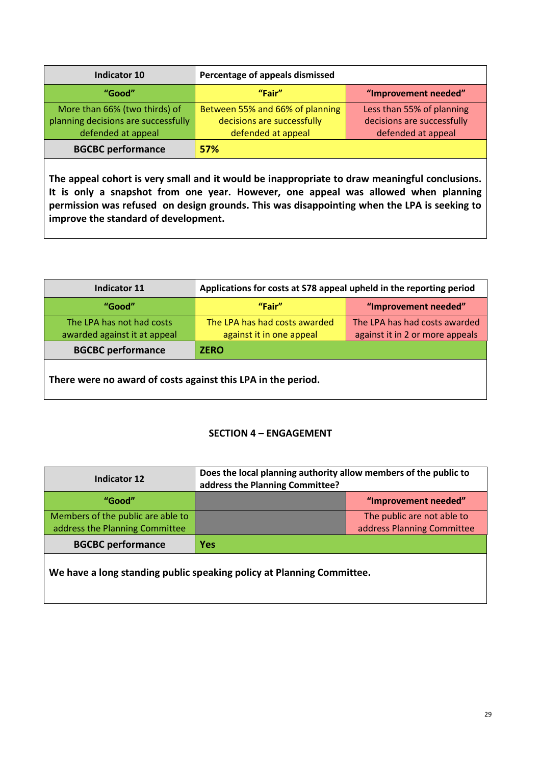| Indicator 10                        | Percentage of appeals dismissed |                            |
|-------------------------------------|---------------------------------|----------------------------|
| "Good"                              | "Fair"                          | "Improvement needed"       |
| More than 66% (two thirds) of       | Between 55% and 66% of planning | Less than 55% of planning  |
| planning decisions are successfully | decisions are successfully      | decisions are successfully |
| defended at appeal                  | defended at appeal              | defended at appeal         |
| <b>BGCBC performance</b>            | 57%                             |                            |

**The appeal cohort is very small and it would be inappropriate to draw meaningful conclusions. It is only a snapshot from one year. However, one appeal was allowed when planning permission was refused on design grounds. This was disappointing when the LPA is seeking to improve the standard of development.**

| Indicator 11                 | Applications for costs at S78 appeal upheld in the reporting period |                                 |
|------------------------------|---------------------------------------------------------------------|---------------------------------|
| "Good"                       | "Fair"                                                              | "Improvement needed"            |
| The LPA has not had costs    | The LPA has had costs awarded                                       | The LPA has had costs awarded   |
| awarded against it at appeal | against it in one appeal                                            | against it in 2 or more appeals |
| <b>BGCBC performance</b>     | <b>ZERO</b>                                                         |                                 |
|                              |                                                                     |                                 |

**There were no award of costs against this LPA in the period.**

### **SECTION 4 – ENGAGEMENT**

| Indicator 12                                                        | Does the local planning authority allow members of the public to<br>address the Planning Committee? |                                                          |
|---------------------------------------------------------------------|-----------------------------------------------------------------------------------------------------|----------------------------------------------------------|
| "Good"                                                              |                                                                                                     | "Improvement needed"                                     |
| Members of the public are able to<br>address the Planning Committee |                                                                                                     | The public are not able to<br>address Planning Committee |
| <b>BGCBC performance</b>                                            | Yes                                                                                                 |                                                          |

**We have a long standing public speaking policy at Planning Committee.**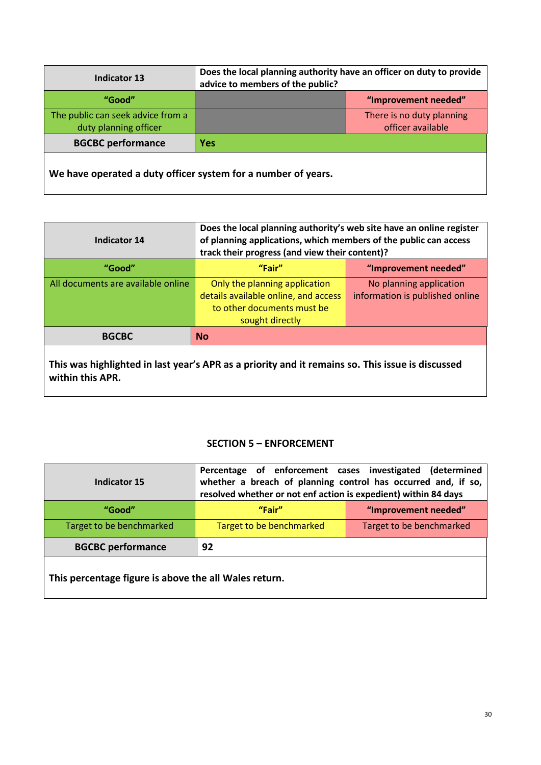| <b>Indicator 13</b>                                          | Does the local planning authority have an officer on duty to provide<br>advice to members of the public? |                                                |
|--------------------------------------------------------------|----------------------------------------------------------------------------------------------------------|------------------------------------------------|
| "Good"                                                       |                                                                                                          | "Improvement needed"                           |
| The public can seek advice from a<br>duty planning officer   |                                                                                                          | There is no duty planning<br>officer available |
| <b>BGCBC performance</b>                                     | <b>Yes</b>                                                                                               |                                                |
| We have energted a duty efficer system for a number of vears |                                                                                                          |                                                |

**We have operated a duty officer system for a number of years.**

| Indicator 14                       | Does the local planning authority's web site have an online register<br>of planning applications, which members of the public can access<br>track their progress (and view their content)? |                                                            |
|------------------------------------|--------------------------------------------------------------------------------------------------------------------------------------------------------------------------------------------|------------------------------------------------------------|
| "Good"                             | "Fair"                                                                                                                                                                                     | "Improvement needed"                                       |
| All documents are available online | Only the planning application<br>details available online, and access<br>to other documents must be<br>sought directly                                                                     | No planning application<br>information is published online |
| <b>BGCBC</b>                       | <b>No</b>                                                                                                                                                                                  |                                                            |

**This was highlighted in last year's APR as a priority and it remains so. This issue is discussed within this APR.**

### **SECTION 5 – ENFORCEMENT**

| Indicator 15                                          | Percentage of enforcement cases investigated (determined<br>whether a breach of planning control has occurred and, if so,<br>resolved whether or not enf action is expedient) within 84 days |                          |
|-------------------------------------------------------|----------------------------------------------------------------------------------------------------------------------------------------------------------------------------------------------|--------------------------|
| "Good"                                                | "Fair"                                                                                                                                                                                       | "Improvement needed"     |
| Target to be benchmarked                              | Target to be benchmarked                                                                                                                                                                     | Target to be benchmarked |
| <b>BGCBC performance</b>                              | 92                                                                                                                                                                                           |                          |
| This percentage figure is above the all Wales return. |                                                                                                                                                                                              |                          |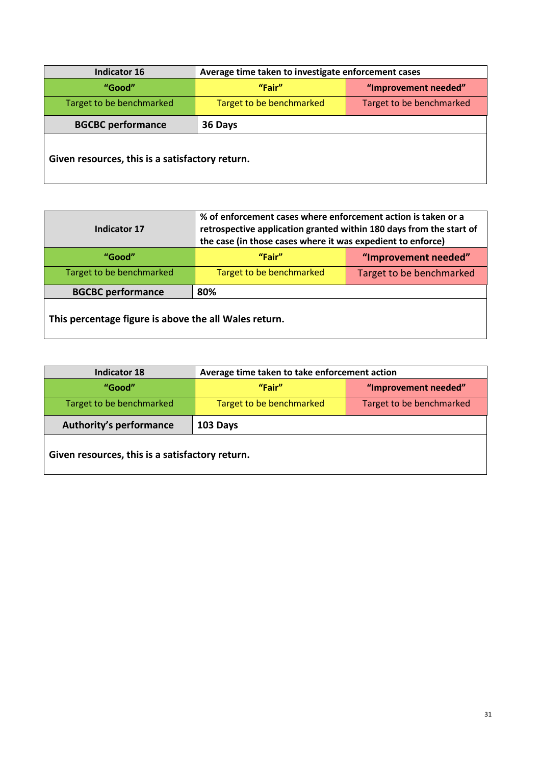| <b>Indicator 16</b>                             | Average time taken to investigate enforcement cases |                          |
|-------------------------------------------------|-----------------------------------------------------|--------------------------|
| "Good"                                          | "Fair"                                              | "Improvement needed"     |
| Target to be benchmarked                        | Target to be benchmarked                            | Target to be benchmarked |
| <b>BGCBC performance</b>                        | 36 Days                                             |                          |
| Given resources, this is a satisfactory return. |                                                     |                          |

| Indicator 17                                          | % of enforcement cases where enforcement action is taken or a<br>retrospective application granted within 180 days from the start of<br>the case (in those cases where it was expedient to enforce) |                          |
|-------------------------------------------------------|-----------------------------------------------------------------------------------------------------------------------------------------------------------------------------------------------------|--------------------------|
| "Good"                                                | "Fair"<br>"Improvement needed"                                                                                                                                                                      |                          |
| Target to be benchmarked                              | Target to be benchmarked                                                                                                                                                                            | Target to be benchmarked |
| <b>BGCBC performance</b>                              | 80%                                                                                                                                                                                                 |                          |
| This percentage figure is above the all Wales return. |                                                                                                                                                                                                     |                          |

| <b>Indicator 18</b>                             | Average time taken to take enforcement action |                          |
|-------------------------------------------------|-----------------------------------------------|--------------------------|
| "Good"                                          | "Fair"                                        | "Improvement needed"     |
| Target to be benchmarked                        | Target to be benchmarked                      | Target to be benchmarked |
| <b>Authority's performance</b>                  | 103 Days                                      |                          |
| Given resources, this is a satisfactory return. |                                               |                          |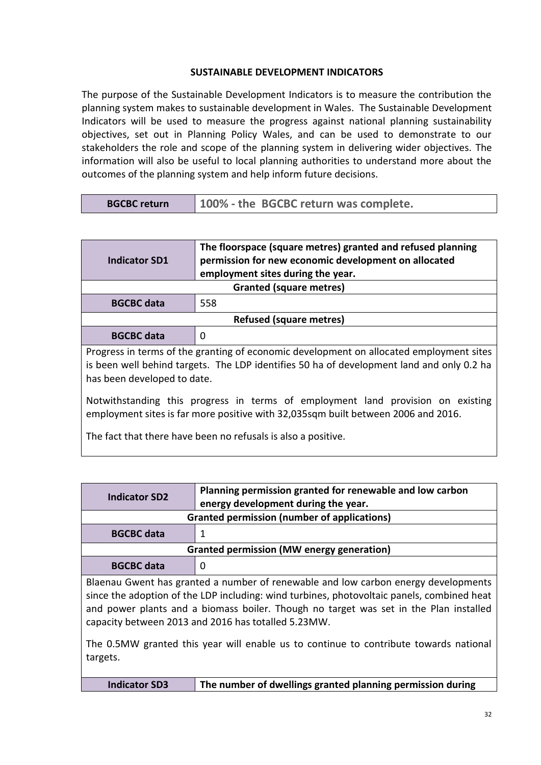### **SUSTAINABLE DEVELOPMENT INDICATORS**

The purpose of the Sustainable Development Indicators is to measure the contribution the planning system makes to sustainable development in Wales. The Sustainable Development Indicators will be used to measure the progress against national planning sustainability objectives, set out in Planning Policy Wales, and can be used to demonstrate to our stakeholders the role and scope of the planning system in delivering wider objectives. The information will also be useful to local planning authorities to understand more about the outcomes of the planning system and help inform future decisions.

| Indicator SD1                                                                                                                                                                                                       | The floorspace (square metres) granted and refused planning<br>permission for new economic development on allocated<br>employment sites during the year. |  |
|---------------------------------------------------------------------------------------------------------------------------------------------------------------------------------------------------------------------|----------------------------------------------------------------------------------------------------------------------------------------------------------|--|
|                                                                                                                                                                                                                     | <b>Granted (square metres)</b>                                                                                                                           |  |
| <b>BGCBC</b> data                                                                                                                                                                                                   | 558                                                                                                                                                      |  |
|                                                                                                                                                                                                                     | <b>Refused (square metres)</b>                                                                                                                           |  |
| <b>BGCBC</b> data                                                                                                                                                                                                   | 0                                                                                                                                                        |  |
| Progress in terms of the granting of economic development on allocated employment sites<br>is been well behind targets. The LDP identifies 50 ha of development land and only 0.2 ha<br>has been developed to date. |                                                                                                                                                          |  |
| Notwithstanding this progress in terms of employment land provision on existing<br>employment sites is far more positive with 32,035sqm built between 2006 and 2016.                                                |                                                                                                                                                          |  |
| The fact that there have been no refusals is also a positive.                                                                                                                                                       |                                                                                                                                                          |  |

| <b>Indicator SD2</b>                                                                       | Planning permission granted for renewable and low carbon |  |
|--------------------------------------------------------------------------------------------|----------------------------------------------------------|--|
|                                                                                            | energy development during the year.                      |  |
| <b>Granted permission (number of applications)</b>                                         |                                                          |  |
| <b>BGCBC</b> data                                                                          |                                                          |  |
| <b>Granted permission (MW energy generation)</b>                                           |                                                          |  |
| <b>BGCBC</b> data                                                                          |                                                          |  |
| Blaenau Gwent has granted a number of renewable and low carbon energy developments         |                                                          |  |
| since the adoption of the LDP including: wind turbines, photovoltaic panels, combined heat |                                                          |  |

since the adoption of the LDP including: wind turbines, photovoltaic panels, combined heat and power plants and a biomass boiler. Though no target was set in the Plan installed capacity between 2013 and 2016 has totalled 5.23MW.

The 0.5MW granted this year will enable us to continue to contribute towards national targets.

| <b>Indicator SD3</b> | The number of dwellings granted planning permission during |
|----------------------|------------------------------------------------------------|
|----------------------|------------------------------------------------------------|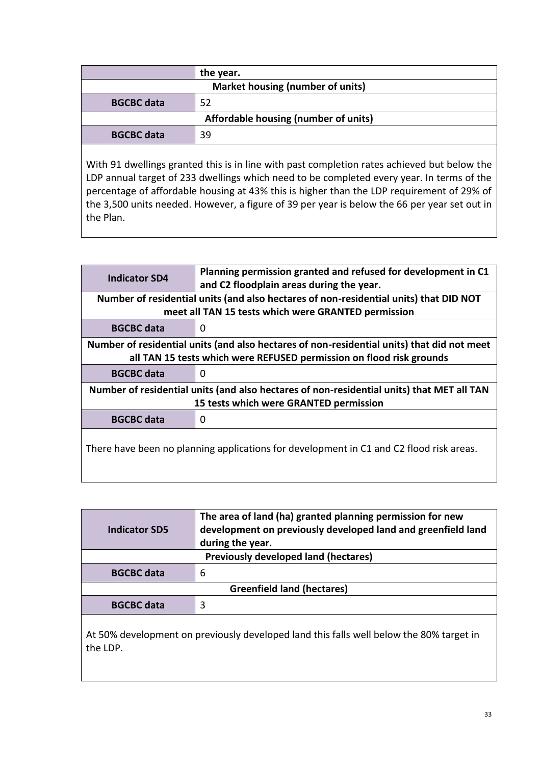|                                      | the year. |
|--------------------------------------|-----------|
| Market housing (number of units)     |           |
| <b>BGCBC</b> data                    | 52        |
| Affordable housing (number of units) |           |
| <b>BGCBC</b> data                    | 39        |
|                                      |           |

With 91 dwellings granted this is in line with past completion rates achieved but below the LDP annual target of 233 dwellings which need to be completed every year. In terms of the percentage of affordable housing at 43% this is higher than the LDP requirement of 29% of the 3,500 units needed. However, a figure of 39 per year is below the 66 per year set out in the Plan.

| <b>Indicator SD4</b>                                                                       | Planning permission granted and refused for development in C1<br>and C2 floodplain areas during the year. |  |
|--------------------------------------------------------------------------------------------|-----------------------------------------------------------------------------------------------------------|--|
| Number of residential units (and also hectares of non-residential units) that DID NOT      |                                                                                                           |  |
| meet all TAN 15 tests which were GRANTED permission                                        |                                                                                                           |  |
| <b>BGCBC</b> data                                                                          | $\Omega$                                                                                                  |  |
| Number of residential units (and also hectares of non-residential units) that did not meet |                                                                                                           |  |
| all TAN 15 tests which were REFUSED permission on flood risk grounds                       |                                                                                                           |  |
| <b>BGCBC</b> data                                                                          | $\Omega$                                                                                                  |  |
| Number of residential units (and also hectares of non-residential units) that MET all TAN  |                                                                                                           |  |
| 15 tests which were GRANTED permission                                                     |                                                                                                           |  |
| <b>BGCBC</b> data                                                                          | $\Omega$                                                                                                  |  |
| There have been no planning applications for development in C1 and C2 flood risk areas.    |                                                                                                           |  |

| <b>Indicator SD5</b>                        | The area of land (ha) granted planning permission for new<br>development on previously developed land and greenfield land<br>during the year. |
|---------------------------------------------|-----------------------------------------------------------------------------------------------------------------------------------------------|
| <b>Previously developed land (hectares)</b> |                                                                                                                                               |
| <b>BGCBC</b> data                           | 6                                                                                                                                             |
| <b>Greenfield land (hectares)</b>           |                                                                                                                                               |
| <b>BGCBC</b> data                           |                                                                                                                                               |
|                                             |                                                                                                                                               |

At 50% development on previously developed land this falls well below the 80% target in the LDP.